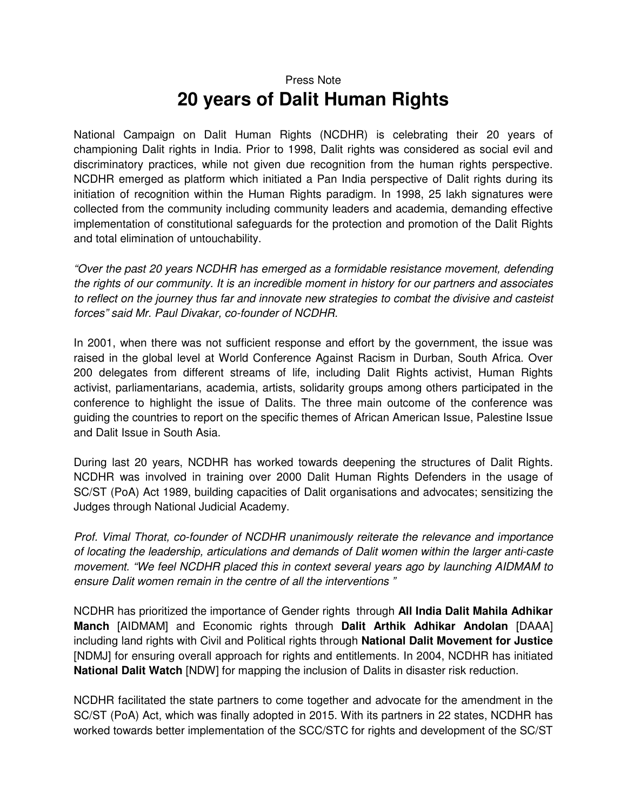## Press Note **20 years of Dalit Human Rights**

National Campaign on Dalit Human Rights (NCDHR) is celebrating their 20 years of championing Dalit rights in India. Prior to 1998, Dalit rights was considered as social evil and discriminatory practices, while not given due recognition from the human rights perspective. NCDHR emerged as platform which initiated a Pan India perspective of Dalit rights during its initiation of recognition within the Human Rights paradigm. In 1998, 25 lakh signatures were collected from the community including community leaders and academia, demanding effective implementation of constitutional safeguards for the protection and promotion of the Dalit Rights and total elimination of untouchability.

"Over the past 20 years NCDHR has emerged as a formidable resistance movement, defending the rights of our community. It is an incredible moment in history for our partners and associates to reflect on the journey thus far and innovate new strategies to combat the divisive and casteist forces" said Mr. Paul Divakar, co-founder of NCDHR.

In 2001, when there was not sufficient response and effort by the government, the issue was raised in the global level at World Conference Against Racism in Durban, South Africa. Over 200 delegates from different streams of life, including Dalit Rights activist, Human Rights activist, parliamentarians, academia, artists, solidarity groups among others participated in the conference to highlight the issue of Dalits. The three main outcome of the conference was guiding the countries to report on the specific themes of African American Issue, Palestine Issue and Dalit Issue in South Asia.

During last 20 years, NCDHR has worked towards deepening the structures of Dalit Rights. NCDHR was involved in training over 2000 Dalit Human Rights Defenders in the usage of SC/ST (PoA) Act 1989, building capacities of Dalit organisations and advocates; sensitizing the Judges through National Judicial Academy.

Prof. Vimal Thorat, co-founder of NCDHR unanimously reiterate the relevance and importance of locating the leadership, articulations and demands of Dalit women within the larger anti-caste movement. "We feel NCDHR placed this in context several years ago by launching AIDMAM to ensure Dalit women remain in the centre of all the interventions "

NCDHR has prioritized the importance of Gender rights through **All India Dalit Mahila Adhikar Manch** [AIDMAM] and Economic rights through **Dalit Arthik Adhikar Andolan** [DAAA] including land rights with Civil and Political rights through **National Dalit Movement for Justice**  [NDMJ] for ensuring overall approach for rights and entitlements. In 2004, NCDHR has initiated **National Dalit Watch** [NDW] for mapping the inclusion of Dalits in disaster risk reduction.

NCDHR facilitated the state partners to come together and advocate for the amendment in the SC/ST (PoA) Act, which was finally adopted in 2015. With its partners in 22 states, NCDHR has worked towards better implementation of the SCC/STC for rights and development of the SC/ST